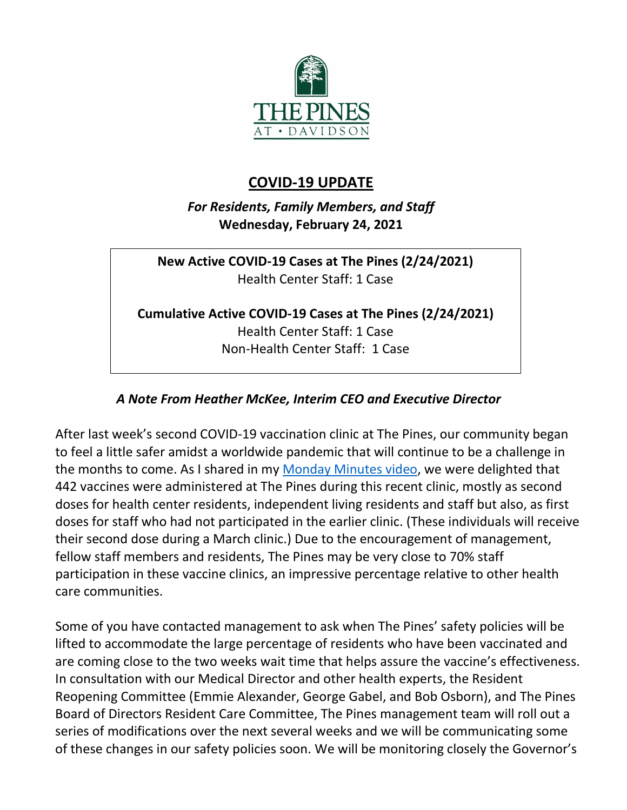

## **COVID-19 UPDATE**

*For Residents, Family Members, and Staff* **Wednesday, February 24, 2021**

**New Active COVID-19 Cases at The Pines (2/24/2021)** Health Center Staff: 1 Case

**Cumulative Active COVID-19 Cases at The Pines (2/24/2021)** Health Center Staff: 1 Case Non-Health Center Staff: 1 Case

## *A Note From Heather McKee, Interim CEO and Executive Director*

After last week's second COVID-19 vaccination clinic at The Pines, our community began to feel a little safer amidst a worldwide pandemic that will continue to be a challenge in the months to come. As I shared in my [Monday Minutes video,](https://youtu.be/fw2p8uUSxC8) we were delighted that 442 vaccines were administered at The Pines during this recent clinic, mostly as second doses for health center residents, independent living residents and staff but also, as first doses for staff who had not participated in the earlier clinic. (These individuals will receive their second dose during a March clinic.) Due to the encouragement of management, fellow staff members and residents, The Pines may be very close to 70% staff participation in these vaccine clinics, an impressive percentage relative to other health care communities.

Some of you have contacted management to ask when The Pines' safety policies will be lifted to accommodate the large percentage of residents who have been vaccinated and are coming close to the two weeks wait time that helps assure the vaccine's effectiveness. In consultation with our Medical Director and other health experts, the Resident Reopening Committee (Emmie Alexander, George Gabel, and Bob Osborn), and The Pines Board of Directors Resident Care Committee, The Pines management team will roll out a series of modifications over the next several weeks and we will be communicating some of these changes in our safety policies soon. We will be monitoring closely the Governor's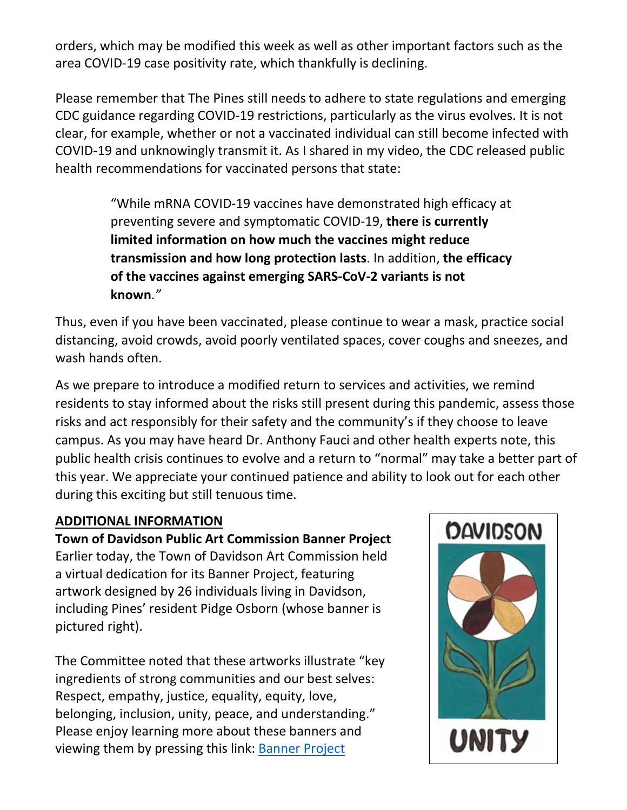orders, which may be modified this week as well as other important factors such as the area COVID-19 case positivity rate, which thankfully is declining.

Please remember that The Pines still needs to adhere to state regulations and emerging CDC guidance regarding COVID-19 restrictions, particularly as the virus evolves. It is not clear, for example, whether or not a vaccinated individual can still become infected with COVID-19 and unknowingly transmit it. As I shared in my video, the CDC released public health recommendations for vaccinated persons that state:

> "While mRNA COVID-19 vaccines have demonstrated high efficacy at preventing severe and symptomatic COVID-19, **there is currently limited information on how much the vaccines might reduce transmission and how long protection lasts**. In addition, **the efficacy of the vaccines against emerging SARS-CoV-2 variants is not known**.*"*

Thus, even if you have been vaccinated, please continue to wear a mask, practice social distancing, avoid crowds, avoid poorly ventilated spaces, cover coughs and sneezes, and wash hands often.

As we prepare to introduce a modified return to services and activities, we remind residents to stay informed about the risks still present during this pandemic, assess those risks and act responsibly for their safety and the community's if they choose to leave campus. As you may have heard Dr. Anthony Fauci and other health experts note, this public health crisis continues to evolve and a return to "normal" may take a better part of this year. We appreciate your continued patience and ability to look out for each other during this exciting but still tenuous time.

## **ADDITIONAL INFORMATION**

**Town of Davidson Public Art Commission Banner Project** Earlier today, the Town of Davidson Art Commission held a virtual dedication for its Banner Project, featuring artwork designed by 26 individuals living in Davidson, including Pines' resident Pidge Osborn (whose banner is pictured right).

The Committee noted that these artworks illustrate "key ingredients of strong communities and our best selves: Respect, empathy, justice, equality, equity, love, belonging, inclusion, unity, peace, and understanding." Please enjoy learning more about these banners and viewing them by pressing this link: [Banner Project](http://townofdavidson.org/1344/Banner-Project)